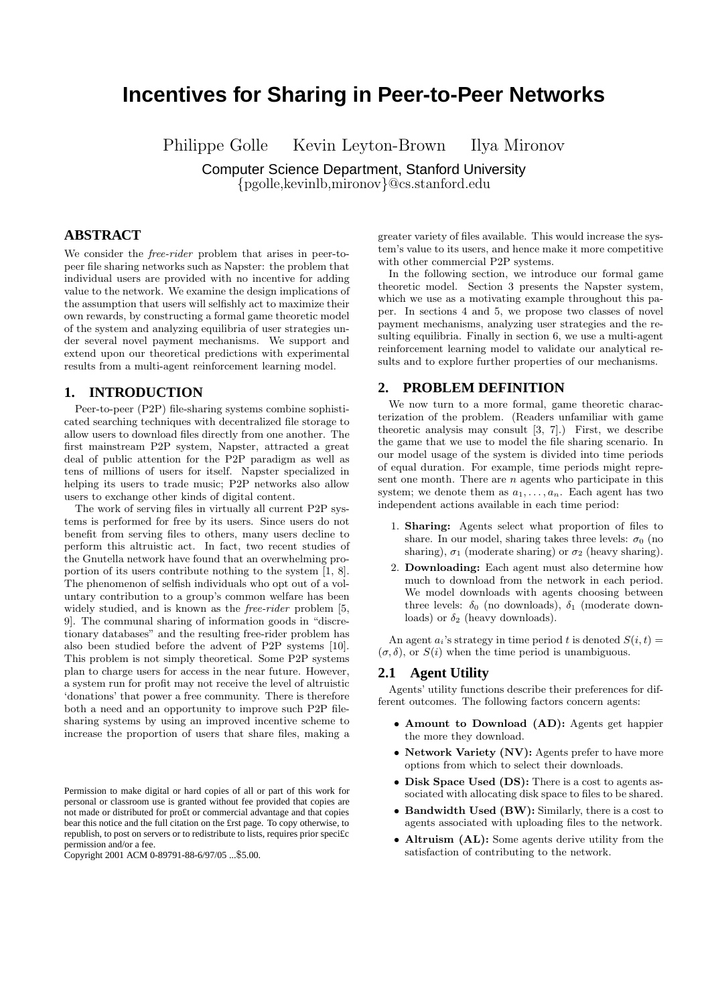# **Incentives for Sharing in Peer-to-Peer Networks**

Philippe Golle Kevin Leyton-Brown Ilya Mironov

Computer Science Department, Stanford University

{pgolle,kevinlb,mironov}@cs.stanford.edu

# **ABSTRACT**

We consider the free-rider problem that arises in peer-topeer file sharing networks such as Napster: the problem that individual users are provided with no incentive for adding value to the network. We examine the design implications of the assumption that users will selfishly act to maximize their own rewards, by constructing a formal game theoretic model of the system and analyzing equilibria of user strategies under several novel payment mechanisms. We support and extend upon our theoretical predictions with experimental results from a multi-agent reinforcement learning model.

## **1. INTRODUCTION**

Peer-to-peer (P2P) file-sharing systems combine sophisticated searching techniques with decentralized file storage to allow users to download files directly from one another. The first mainstream P2P system, Napster, attracted a great deal of public attention for the P2P paradigm as well as tens of millions of users for itself. Napster specialized in helping its users to trade music; P2P networks also allow users to exchange other kinds of digital content.

The work of serving files in virtually all current P2P systems is performed for free by its users. Since users do not benefit from serving files to others, many users decline to perform this altruistic act. In fact, two recent studies of the Gnutella network have found that an overwhelming proportion of its users contribute nothing to the system [1, 8]. The phenomenon of selfish individuals who opt out of a voluntary contribution to a group's common welfare has been widely studied, and is known as the *free-rider* problem [5, 9]. The communal sharing of information goods in "discretionary databases" and the resulting free-rider problem has also been studied before the advent of P2P systems [10]. This problem is not simply theoretical. Some P2P systems plan to charge users for access in the near future. However, a system run for profit may not receive the level of altruistic 'donations' that power a free community. There is therefore both a need and an opportunity to improve such P2P filesharing systems by using an improved incentive scheme to increase the proportion of users that share files, making a

Permission to make digital or hard copies of all or part of this work for personal or classroom use is granted without fee provided that copies are not made or distributed for pro£t or commercial advantage and that copies bear this notice and the full citation on the £rst page. To copy otherwise, to republish, to post on servers or to redistribute to lists, requires prior speci£c permission and/or a fee.

Copyright 2001 ACM 0-89791-88-6/97/05 ...\$5.00.

greater variety of files available. This would increase the system's value to its users, and hence make it more competitive with other commercial P2P systems.

In the following section, we introduce our formal game theoretic model. Section 3 presents the Napster system, which we use as a motivating example throughout this paper. In sections 4 and 5, we propose two classes of novel payment mechanisms, analyzing user strategies and the resulting equilibria. Finally in section 6, we use a multi-agent reinforcement learning model to validate our analytical results and to explore further properties of our mechanisms.

#### **2. PROBLEM DEFINITION**

We now turn to a more formal, game theoretic characterization of the problem. (Readers unfamiliar with game theoretic analysis may consult [3, 7].) First, we describe the game that we use to model the file sharing scenario. In our model usage of the system is divided into time periods of equal duration. For example, time periods might represent one month. There are  $n$  agents who participate in this system; we denote them as  $a_1, \ldots, a_n$ . Each agent has two independent actions available in each time period:

- 1. **Sharing:** Agents select what proportion of files to share. In our model, sharing takes three levels:  $\sigma_0$  (no sharing),  $\sigma_1$  (moderate sharing) or  $\sigma_2$  (heavy sharing).
- 2. **Downloading:** Each agent must also determine how much to download from the network in each period. We model downloads with agents choosing between three levels:  $\delta_0$  (no downloads),  $\delta_1$  (moderate downloads) or  $\delta_2$  (heavy downloads).

An agent  $a_i$ 's strategy in time period t is denoted  $S(i, t) =$  $(\sigma, \delta)$ , or  $S(i)$  when the time period is unambiguous.

## **2.1 Agent Utility**

Agents' utility functions describe their preferences for different outcomes. The following factors concern agents:

- **Amount to Download (AD):** Agents get happier the more they download.
- **Network Variety (NV):** Agents prefer to have more options from which to select their downloads.
- **Disk Space Used (DS):** There is a cost to agents associated with allocating disk space to files to be shared.
- **Bandwidth Used (BW):** Similarly, there is a cost to agents associated with uploading files to the network.
- **Altruism (AL):** Some agents derive utility from the satisfaction of contributing to the network.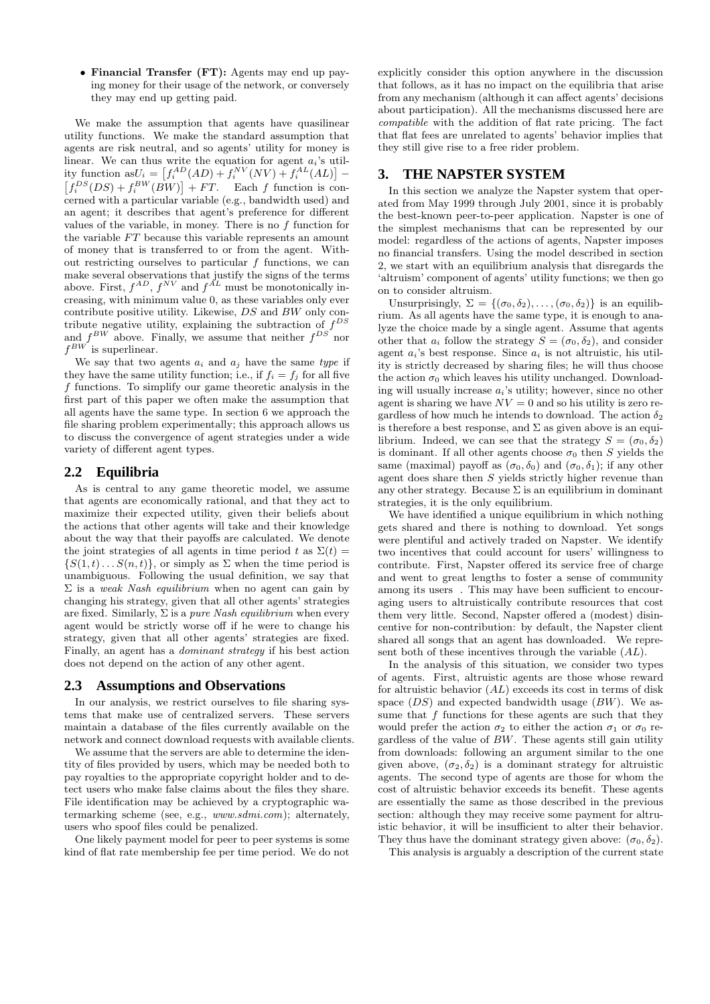• **Financial Transfer (FT):** Agents may end up paying money for their usage of the network, or conversely they may end up getting paid.

We make the assumption that agents have quasilinear utility functions. We make the standard assumption that agents are risk neutral, and so agents' utility for money is linear. We can thus write the equation for agent  $a_i$ 's utility function as  $U_i = \left[ f_i^{AD}(AD) + f_i^{NV}(NV) + f_i^{AL}(AL) \right]$  $[f_i^{DS}(DS) + f_i^{BW}(BW)] + FT$ . Each f function is concerned with a particular variable (e.g., bandwidth used) and an agent; it describes that agent's preference for different values of the variable, in money. There is no  $f$  function for the variable  $FT$  because this variable represents an amount of money that is transferred to or from the agent. Without restricting ourselves to particular  $f$  functions, we can make several observations that justify the signs of the terms<br>above. First,  $f^{AD}$ ,  $f^{NV}$  and  $f^{AL}$  must be monotonically increasing, with minimum value 0, as these variables only ever contribute positive utility. Likewise, DS and BW only contribute negative utility, explaining the subtraction of  $f^{DS}$ and  $f^{BW}$  above. Finally, we assume that neither  $f^{DS'}$  nor  $f^{BW'}$  is superlinear.

We say that two agents  $a_i$  and  $a_j$  have the same type if they have the same utility function; i.e., if  $f_i = f_i$  for all five f functions. To simplify our game theoretic analysis in the first part of this paper we often make the assumption that all agents have the same type. In section 6 we approach the file sharing problem experimentally; this approach allows us to discuss the convergence of agent strategies under a wide variety of different agent types.

## **2.2 Equilibria**

As is central to any game theoretic model, we assume that agents are economically rational, and that they act to maximize their expected utility, given their beliefs about the actions that other agents will take and their knowledge about the way that their payoffs are calculated. We denote the joint strategies of all agents in time period t as  $\Sigma(t)$  =  $\{S(1,t)\dots S(n,t)\}\$ , or simply as  $\Sigma$  when the time period is unambiguous. Following the usual definition, we say that  $\Sigma$  is a weak Nash equilibrium when no agent can gain by changing his strategy, given that all other agents' strategies are fixed. Similarly,  $\Sigma$  is a *pure Nash equilibrium* when every agent would be strictly worse off if he were to change his strategy, given that all other agents' strategies are fixed. Finally, an agent has a dominant strategy if his best action does not depend on the action of any other agent.

#### **2.3 Assumptions and Observations**

In our analysis, we restrict ourselves to file sharing systems that make use of centralized servers. These servers maintain a database of the files currently available on the network and connect download requests with available clients.

We assume that the servers are able to determine the identity of files provided by users, which may be needed both to pay royalties to the appropriate copyright holder and to detect users who make false claims about the files they share. File identification may be achieved by a cryptographic watermarking scheme (see, e.g., www.sdmi.com); alternately, users who spoof files could be penalized.

One likely payment model for peer to peer systems is some kind of flat rate membership fee per time period. We do not

explicitly consider this option anywhere in the discussion that follows, as it has no impact on the equilibria that arise from any mechanism (although it can affect agents' decisions about participation). All the mechanisms discussed here are compatible with the addition of flat rate pricing. The fact that flat fees are unrelated to agents' behavior implies that they still give rise to a free rider problem.

## **3. THE NAPSTER SYSTEM**

In this section we analyze the Napster system that operated from May 1999 through July 2001, since it is probably the best-known peer-to-peer application. Napster is one of the simplest mechanisms that can be represented by our model: regardless of the actions of agents, Napster imposes no financial transfers. Using the model described in section 2, we start with an equilibrium analysis that disregards the 'altruism' component of agents' utility functions; we then go on to consider altruism.

Unsurprisingly,  $\Sigma = \{(\sigma_0, \delta_2), \ldots, (\sigma_0, \delta_2)\}\$ is an equilibrium. As all agents have the same type, it is enough to analyze the choice made by a single agent. Assume that agents other that  $a_i$  follow the strategy  $S = (\sigma_0, \delta_2)$ , and consider agent  $a_i$ 's best response. Since  $a_i$  is not altruistic, his utility is strictly decreased by sharing files; he will thus choose the action  $\sigma_0$  which leaves his utility unchanged. Downloading will usually increase  $a_i$ 's utility; however, since no other agent is sharing we have  $NV = 0$  and so his utility is zero regardless of how much he intends to download. The action  $\delta_2$ is therefore a best response, and  $\Sigma$  as given above is an equilibrium. Indeed, we can see that the strategy  $S = (\sigma_0, \delta_2)$ is dominant. If all other agents choose  $\sigma_0$  then S yields the same (maximal) payoff as  $(\sigma_0, \delta_0)$  and  $(\sigma_0, \delta_1)$ ; if any other agent does share then S yields strictly higher revenue than any other strategy. Because  $\Sigma$  is an equilibrium in dominant strategies, it is the only equilibrium.

We have identified a unique equilibrium in which nothing gets shared and there is nothing to download. Yet songs were plentiful and actively traded on Napster. We identify two incentives that could account for users' willingness to contribute. First, Napster offered its service free of charge and went to great lengths to foster a sense of community among its users . This may have been sufficient to encouraging users to altruistically contribute resources that cost them very little. Second, Napster offered a (modest) disincentive for non-contribution: by default, the Napster client shared all songs that an agent has downloaded. We represent both of these incentives through the variable  $(AL)$ .

In the analysis of this situation, we consider two types of agents. First, altruistic agents are those whose reward for altruistic behavior  $(AL)$  exceeds its cost in terms of disk space  $(DS)$  and expected bandwidth usage  $(BW)$ . We assume that  $f$  functions for these agents are such that they would prefer the action  $\sigma_2$  to either the action  $\sigma_1$  or  $\sigma_0$  regardless of the value of BW. These agents still gain utility from downloads: following an argument similar to the one given above,  $(\sigma_2, \delta_2)$  is a dominant strategy for altruistic agents. The second type of agents are those for whom the cost of altruistic behavior exceeds its benefit. These agents are essentially the same as those described in the previous section: although they may receive some payment for altruistic behavior, it will be insufficient to alter their behavior. They thus have the dominant strategy given above:  $(\sigma_0, \delta_2)$ .

This analysis is arguably a description of the current state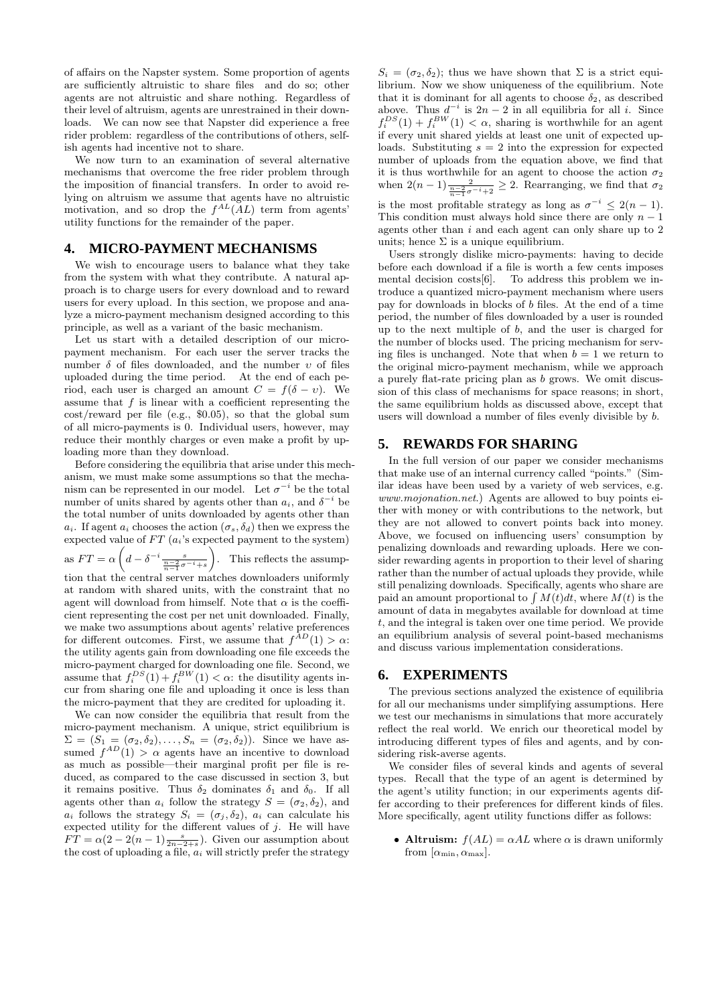of affairs on the Napster system. Some proportion of agents are sufficiently altruistic to share files and do so; other agents are not altruistic and share nothing. Regardless of their level of altruism, agents are unrestrained in their downloads. We can now see that Napster did experience a free rider problem: regardless of the contributions of others, selfish agents had incentive not to share.

We now turn to an examination of several alternative mechanisms that overcome the free rider problem through the imposition of financial transfers. In order to avoid relying on altruism we assume that agents have no altruistic motivation, and so drop the  $f^{AL}(\tilde{A}L)$  term from agents' utility functions for the remainder of the paper.

## **4. MICRO-PAYMENT MECHANISMS**

We wish to encourage users to balance what they take from the system with what they contribute. A natural approach is to charge users for every download and to reward users for every upload. In this section, we propose and analyze a micro-payment mechanism designed according to this principle, as well as a variant of the basic mechanism.

Let us start with a detailed description of our micropayment mechanism. For each user the server tracks the number  $\delta$  of files downloaded, and the number  $v$  of files uploaded during the time period. At the end of each period, each user is charged an amount  $C = f(\delta - v)$ . We assume that  $f$  is linear with a coefficient representing the cost/reward per file (e.g., \$0.05), so that the global sum of all micro-payments is 0. Individual users, however, may reduce their monthly charges or even make a profit by uploading more than they download.

Before considering the equilibria that arise under this mechanism, we must make some assumptions so that the mechanism can be represented in our model. Let  $\sigma^{-i}$  be the total number of units shared by agents other than  $a_i$ , and  $\delta^{-i}$  be the total number of units downloaded by agents other than  $a_i$ . If agent  $a_i$  chooses the action  $(\sigma_s, \delta_d)$  then we express the expected value of  $FT$  ( $a_i$ 's expected payment to the system) as  $FT = \alpha \left( d - \delta^{-i} \frac{s}{\frac{n-2}{n-1} \sigma^{-i} + s} \right)$  . This reflects the assumption that the central server matches downloaders uniformly at random with shared units, with the constraint that no agent will download from himself. Note that  $\alpha$  is the coefficient representing the cost per net unit downloaded. Finally, we make two assumptions about agents' relative preferences for different outcomes. First, we assume that  $f^{\lambda D}(1) > \alpha$ : the utility agents gain from downloading one file exceeds the micro-payment charged for downloading one file. Second, we assume that  $f_i^{DS}(1) + f_i^{BW}(1) < \alpha$ : the disutility agents incur from sharing one file and uploading it once is less than the micro-payment that they are credited for uploading it.

We can now consider the equilibria that result from the micro-payment mechanism. A unique, strict equilibrium is  $\Sigma = (S_1 = (\sigma_2, \delta_2), \ldots, S_n = (\sigma_2, \delta_2)).$  Since we have assumed  $f^{AD}(1) > \alpha$  agents have an incentive to download as much as possible—their marginal profit per file is reduced, as compared to the case discussed in section 3, but it remains positive. Thus  $\delta_2$  dominates  $\delta_1$  and  $\delta_0$ . If all agents other than  $a_i$  follow the strategy  $S = (\sigma_2, \delta_2)$ , and  $a_i$  follows the strategy  $S_i = (\sigma_j, \delta_2)$ ,  $a_i$  can calculate his expected utility for the different values of  $j$ . He will have  $F\hat{T} = \alpha(2 - 2(n-1)\frac{s}{2n-2+s})$ . Given our assumption about the cost of uploading a file,  $a_i$  will strictly prefer the strategy

 $S_i = (\sigma_2, \delta_2)$ ; thus we have shown that  $\Sigma$  is a strict equilibrium. Now we show uniqueness of the equilibrium. Note that it is dominant for all agents to choose  $\delta_2$ , as described above. Thus  $d^{-i}$  is  $2n-2$  in all equilibria for all *i*. Since  $f_i^{DS}(1) + f_i^{BW}(1) < \alpha$ , sharing is worthwhile for an agent if every unit shared yields at least one unit of expected uploads. Substituting  $s = 2$  into the expression for expected number of uploads from the equation above, we find that it is thus worthwhile for an agent to choose the action  $\sigma_2$ when  $2(n-1)\frac{2}{\frac{n-2}{n-1}\sigma^{-i+2}} \geq 2$ . Rearranging, we find that  $\sigma_2$ is the most profitable strategy as long as  $\sigma^{-i} \leq 2(n-1)$ . This condition must always hold since there are only  $n-1$ agents other than  $i$  and each agent can only share up to  $2$ 

units; hence  $\Sigma$  is a unique equilibrium. Users strongly dislike micro-payments: having to decide before each download if a file is worth a few cents imposes mental decision costs[6]. To address this problem we introduce a quantized micro-payment mechanism where users pay for downloads in blocks of b files. At the end of a time period, the number of files downloaded by a user is rounded up to the next multiple of  $b$ , and the user is charged for the number of blocks used. The pricing mechanism for serving files is unchanged. Note that when  $b = 1$  we return to the original micro-payment mechanism, while we approach a purely flat-rate pricing plan as b grows. We omit discussion of this class of mechanisms for space reasons; in short, the same equilibrium holds as discussed above, except that users will download a number of files evenly divisible by b.

#### **5. REWARDS FOR SHARING**

In the full version of our paper we consider mechanisms that make use of an internal currency called "points." (Similar ideas have been used by a variety of web services, e.g. www.mojonation.net.) Agents are allowed to buy points either with money or with contributions to the network, but they are not allowed to convert points back into money. Above, we focused on influencing users' consumption by penalizing downloads and rewarding uploads. Here we consider rewarding agents in proportion to their level of sharing rather than the number of actual uploads they provide, while still penalizing downloads. Specifically, agents who share are paid an amount proportional to  $\int M(t)dt$ , where  $M(t)$  is the amount of data in megabytes available for download at time t, and the integral is taken over one time period. We provide an equilibrium analysis of several point-based mechanisms and discuss various implementation considerations.

## **6. EXPERIMENTS**

The previous sections analyzed the existence of equilibria for all our mechanisms under simplifying assumptions. Here we test our mechanisms in simulations that more accurately reflect the real world. We enrich our theoretical model by introducing different types of files and agents, and by considering risk-averse agents.

We consider files of several kinds and agents of several types. Recall that the type of an agent is determined by the agent's utility function; in our experiments agents differ according to their preferences for different kinds of files. More specifically, agent utility functions differ as follows:

• **Altruism:**  $f(AL) = \alpha AL$  where  $\alpha$  is drawn uniformly from  $[\alpha_{\min}, \alpha_{\max}]$ .